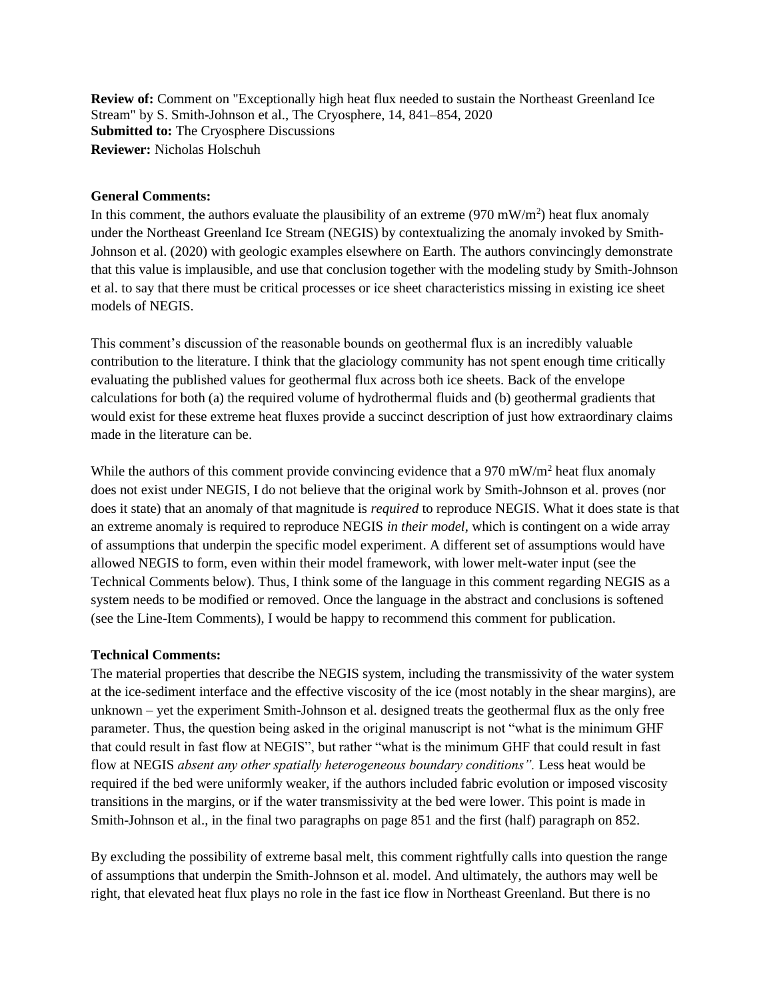**Review of:** Comment on "Exceptionally high heat flux needed to sustain the Northeast Greenland Ice Stream" by S. Smith-Johnson et al., The Cryosphere, 14, 841–854, 2020 **Submitted to:** The Cryosphere Discussions **Reviewer:** Nicholas Holschuh

## **General Comments:**

In this comment, the authors evaluate the plausibility of an extreme  $(970 \text{ mW/m}^2)$  heat flux anomaly under the Northeast Greenland Ice Stream (NEGIS) by contextualizing the anomaly invoked by Smith-Johnson et al. (2020) with geologic examples elsewhere on Earth. The authors convincingly demonstrate that this value is implausible, and use that conclusion together with the modeling study by Smith-Johnson et al. to say that there must be critical processes or ice sheet characteristics missing in existing ice sheet models of NEGIS.

This comment's discussion of the reasonable bounds on geothermal flux is an incredibly valuable contribution to the literature. I think that the glaciology community has not spent enough time critically evaluating the published values for geothermal flux across both ice sheets. Back of the envelope calculations for both (a) the required volume of hydrothermal fluids and (b) geothermal gradients that would exist for these extreme heat fluxes provide a succinct description of just how extraordinary claims made in the literature can be.

While the authors of this comment provide convincing evidence that a 970 mW/m<sup>2</sup> heat flux anomaly does not exist under NEGIS, I do not believe that the original work by Smith-Johnson et al. proves (nor does it state) that an anomaly of that magnitude is *required* to reproduce NEGIS. What it does state is that an extreme anomaly is required to reproduce NEGIS *in their model*, which is contingent on a wide array of assumptions that underpin the specific model experiment. A different set of assumptions would have allowed NEGIS to form, even within their model framework, with lower melt-water input (see the Technical Comments below). Thus, I think some of the language in this comment regarding NEGIS as a system needs to be modified or removed. Once the language in the abstract and conclusions is softened (see the Line-Item Comments), I would be happy to recommend this comment for publication.

## **Technical Comments:**

The material properties that describe the NEGIS system, including the transmissivity of the water system at the ice-sediment interface and the effective viscosity of the ice (most notably in the shear margins), are unknown – yet the experiment Smith-Johnson et al. designed treats the geothermal flux as the only free parameter. Thus, the question being asked in the original manuscript is not "what is the minimum GHF that could result in fast flow at NEGIS", but rather "what is the minimum GHF that could result in fast flow at NEGIS *absent any other spatially heterogeneous boundary conditions".* Less heat would be required if the bed were uniformly weaker, if the authors included fabric evolution or imposed viscosity transitions in the margins, or if the water transmissivity at the bed were lower. This point is made in Smith-Johnson et al., in the final two paragraphs on page 851 and the first (half) paragraph on 852.

By excluding the possibility of extreme basal melt, this comment rightfully calls into question the range of assumptions that underpin the Smith-Johnson et al. model. And ultimately, the authors may well be right, that elevated heat flux plays no role in the fast ice flow in Northeast Greenland. But there is no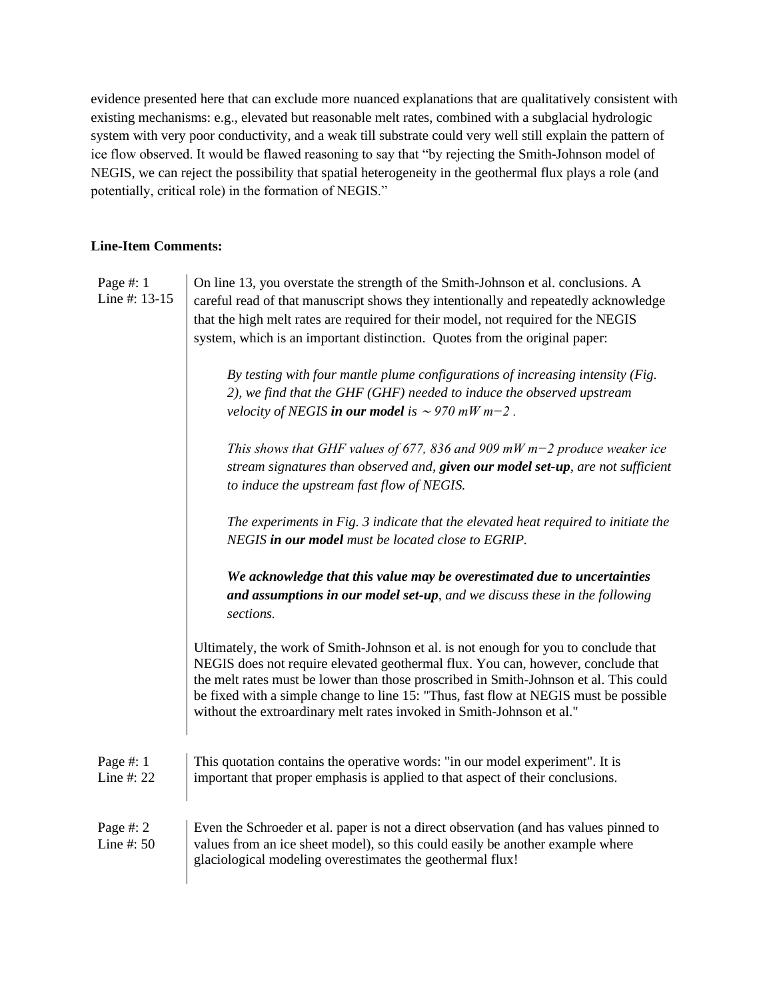evidence presented here that can exclude more nuanced explanations that are qualitatively consistent with existing mechanisms: e.g., elevated but reasonable melt rates, combined with a subglacial hydrologic system with very poor conductivity, and a weak till substrate could very well still explain the pattern of ice flow observed. It would be flawed reasoning to say that "by rejecting the Smith-Johnson model of NEGIS, we can reject the possibility that spatial heterogeneity in the geothermal flux plays a role (and potentially, critical role) in the formation of NEGIS."

## **Line-Item Comments:**

Page #: 1 Line #: 13-15 On line 13, you overstate the strength of the Smith-Johnson et al. conclusions. A careful read of that manuscript shows they intentionally and repeatedly acknowledge that the high melt rates are required for their model, not required for the NEGIS system, which is an important distinction. Quotes from the original paper:

*By testing with four mantle plume configurations of increasing intensity (Fig. 2), we find that the GHF (GHF) needed to induce the observed upstream velocity of NEGIS in our model is*  $\sim$  970 mW m−2.

*This shows that GHF values of 677, 836 and 909 mW m−2 produce weaker ice stream signatures than observed and, given our model set-up, are not sufficient to induce the upstream fast flow of NEGIS.*

*The experiments in Fig. 3 indicate that the elevated heat required to initiate the NEGIS in our model must be located close to EGRIP.*

*We acknowledge that this value may be overestimated due to uncertainties and assumptions in our model set-up, and we discuss these in the following sections.*

Ultimately, the work of Smith-Johnson et al. is not enough for you to conclude that NEGIS does not require elevated geothermal flux. You can, however, conclude that the melt rates must be lower than those proscribed in Smith-Johnson et al. This could be fixed with a simple change to line 15: "Thus, fast flow at NEGIS must be possible without the extroardinary melt rates invoked in Smith-Johnson et al."

| Page #: $1$  | This quotation contains the operative words: "in our model experiment". It is  |
|--------------|--------------------------------------------------------------------------------|
| Line #: $22$ | important that proper emphasis is applied to that aspect of their conclusions. |

Page #: 2 Line #: 50 Even the Schroeder et al. paper is not a direct observation (and has values pinned to values from an ice sheet model), so this could easily be another example where glaciological modeling overestimates the geothermal flux!